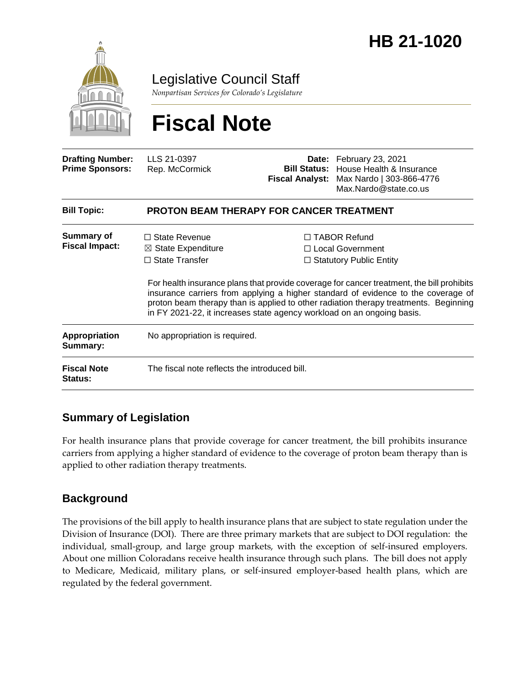

Legislative Council Staff

*Nonpartisan Services for Colorado's Legislature*

# **Fiscal Note**

| <b>Drafting Number:</b><br><b>Prime Sponsors:</b> | LLS 21-0397<br>Rep. McCormick                                                  |  | Date: February 23, 2021<br><b>Bill Status:</b> House Health & Insurance<br>Fiscal Analyst: Max Nardo   303-866-4776<br>Max.Nardo@state.co.us                                                                                                                                                                                                                                                                                         |  |
|---------------------------------------------------|--------------------------------------------------------------------------------|--|--------------------------------------------------------------------------------------------------------------------------------------------------------------------------------------------------------------------------------------------------------------------------------------------------------------------------------------------------------------------------------------------------------------------------------------|--|
| <b>Bill Topic:</b>                                | <b>PROTON BEAM THERAPY FOR CANCER TREATMENT</b>                                |  |                                                                                                                                                                                                                                                                                                                                                                                                                                      |  |
| Summary of<br><b>Fiscal Impact:</b>               | $\Box$ State Revenue<br>$\boxtimes$ State Expenditure<br>$\Box$ State Transfer |  | $\Box$ TABOR Refund<br>$\Box$ Local Government<br>$\Box$ Statutory Public Entity<br>For health insurance plans that provide coverage for cancer treatment, the bill prohibits<br>insurance carriers from applying a higher standard of evidence to the coverage of<br>proton beam therapy than is applied to other radiation therapy treatments. Beginning<br>in FY 2021-22, it increases state agency workload on an ongoing basis. |  |
| <b>Appropriation</b><br>Summary:                  | No appropriation is required.                                                  |  |                                                                                                                                                                                                                                                                                                                                                                                                                                      |  |
| <b>Fiscal Note</b><br>Status:                     | The fiscal note reflects the introduced bill.                                  |  |                                                                                                                                                                                                                                                                                                                                                                                                                                      |  |

# **Summary of Legislation**

For health insurance plans that provide coverage for cancer treatment, the bill prohibits insurance carriers from applying a higher standard of evidence to the coverage of proton beam therapy than is applied to other radiation therapy treatments.

# **Background**

The provisions of the bill apply to health insurance plans that are subject to state regulation under the Division of Insurance (DOI). There are three primary markets that are subject to DOI regulation: the individual, small-group, and large group markets, with the exception of self-insured employers. About one million Coloradans receive health insurance through such plans. The bill does not apply to Medicare, Medicaid, military plans, or self-insured employer-based health plans, which are regulated by the federal government.